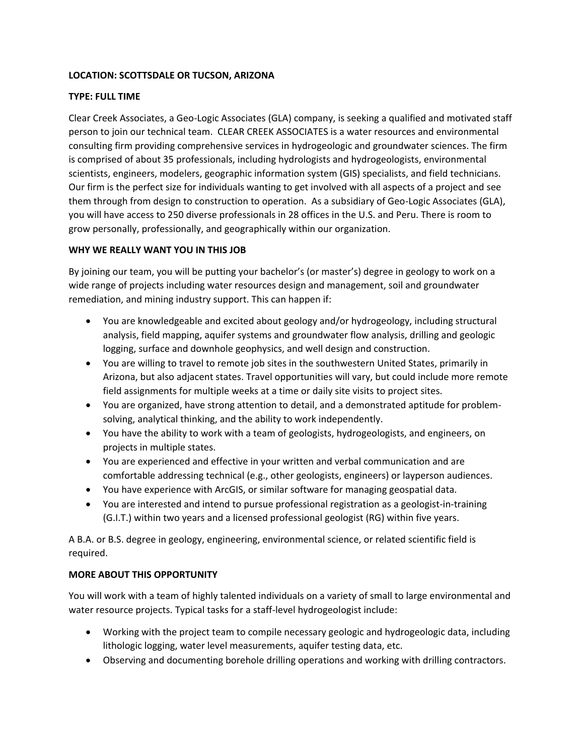## **LOCATION: SCOTTSDALE OR TUCSON, ARIZONA**

## **TYPE: FULL TIME**

Clear Creek Associates, a Geo-Logic Associates (GLA) company, is seeking a qualified and motivated staff person to join our technical team. CLEAR CREEK ASSOCIATES is a water resources and environmental consulting firm providing comprehensive services in hydrogeologic and groundwater sciences. The firm is comprised of about 35 professionals, including hydrologists and hydrogeologists, environmental scientists, engineers, modelers, geographic information system (GIS) specialists, and field technicians. Our firm is the perfect size for individuals wanting to get involved with all aspects of a project and see them through from design to construction to operation. As a subsidiary of Geo-Logic Associates (GLA), you will have access to 250 diverse professionals in 28 offices in the U.S. and Peru. There is room to grow personally, professionally, and geographically within our organization.

## **WHY WE REALLY WANT YOU IN THIS JOB**

By joining our team, you will be putting your bachelor's (or master's) degree in geology to work on a wide range of projects including water resources design and management, soil and groundwater remediation, and mining industry support. This can happen if:

- You are knowledgeable and excited about geology and/or hydrogeology, including structural analysis, field mapping, aquifer systems and groundwater flow analysis, drilling and geologic logging, surface and downhole geophysics, and well design and construction.
- You are willing to travel to remote job sites in the southwestern United States, primarily in Arizona, but also adjacent states. Travel opportunities will vary, but could include more remote field assignments for multiple weeks at a time or daily site visits to project sites.
- You are organized, have strong attention to detail, and a demonstrated aptitude for problemsolving, analytical thinking, and the ability to work independently.
- You have the ability to work with a team of geologists, hydrogeologists, and engineers, on projects in multiple states.
- You are experienced and effective in your written and verbal communication and are comfortable addressing technical (e.g., other geologists, engineers) or layperson audiences.
- You have experience with ArcGIS, or similar software for managing geospatial data.
- You are interested and intend to pursue professional registration as a geologist-in-training (G.I.T.) within two years and a licensed professional geologist (RG) within five years.

A B.A. or B.S. degree in geology, engineering, environmental science, or related scientific field is required.

## **MORE ABOUT THIS OPPORTUNITY**

You will work with a team of highly talented individuals on a variety of small to large environmental and water resource projects. Typical tasks for a staff-level hydrogeologist include:

- Working with the project team to compile necessary geologic and hydrogeologic data, including lithologic logging, water level measurements, aquifer testing data, etc.
- Observing and documenting borehole drilling operations and working with drilling contractors.